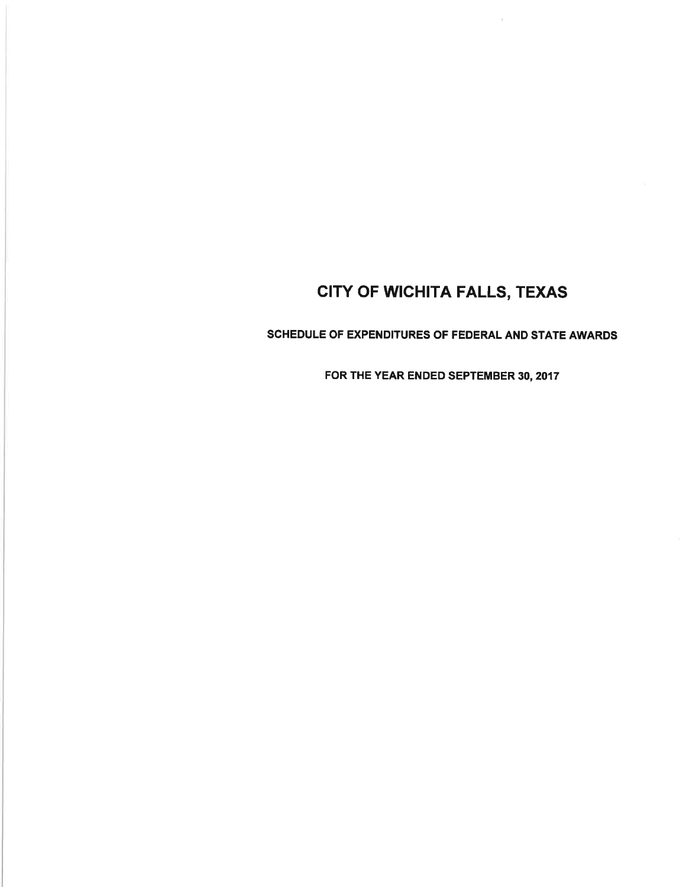$\mathcal{L}$ 

SCHEDULE OF EXPENDITURES OF FEDERAL AND STATE AWARDS

FOR THE YEAR ENDED SEPTEMBER 30,2017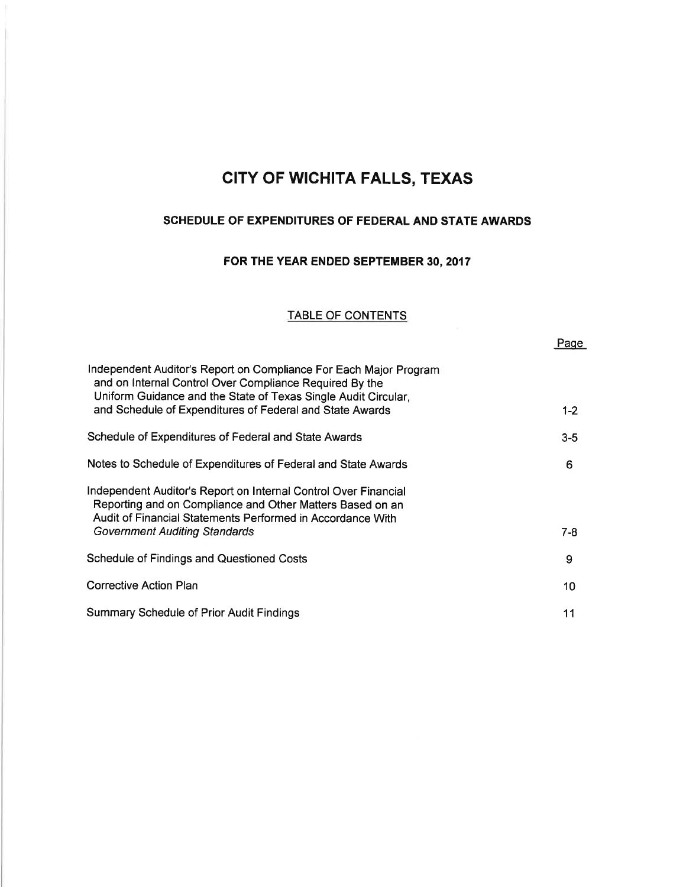### SCHEDULE OF EXPENDITURES OF FEDERAL AND STATE AWARDS

## FOR THE YEAR ENDED SEPTEMBER 30,2017

### TABLE OF CONTENTS

| Independent Auditor's Report on Compliance For Each Major Program<br>and on Internal Control Over Compliance Required By the<br>Uniform Guidance and the State of Texas Single Audit Circular,<br>and Schedule of Expenditures of Federal and State Awards | $1 - 2$ |
|------------------------------------------------------------------------------------------------------------------------------------------------------------------------------------------------------------------------------------------------------------|---------|
|                                                                                                                                                                                                                                                            |         |
| Schedule of Expenditures of Federal and State Awards                                                                                                                                                                                                       | $3 - 5$ |
| Notes to Schedule of Expenditures of Federal and State Awards                                                                                                                                                                                              | 6       |
| Independent Auditor's Report on Internal Control Over Financial<br>Reporting and on Compliance and Other Matters Based on an<br>Audit of Financial Statements Performed in Accordance With<br><b>Government Auditing Standards</b>                         | 7-8     |
|                                                                                                                                                                                                                                                            |         |
| <b>Schedule of Findings and Questioned Costs</b>                                                                                                                                                                                                           | 9       |
| <b>Corrective Action Plan</b>                                                                                                                                                                                                                              | 10      |
| <b>Summary Schedule of Prior Audit Findings</b>                                                                                                                                                                                                            | 11      |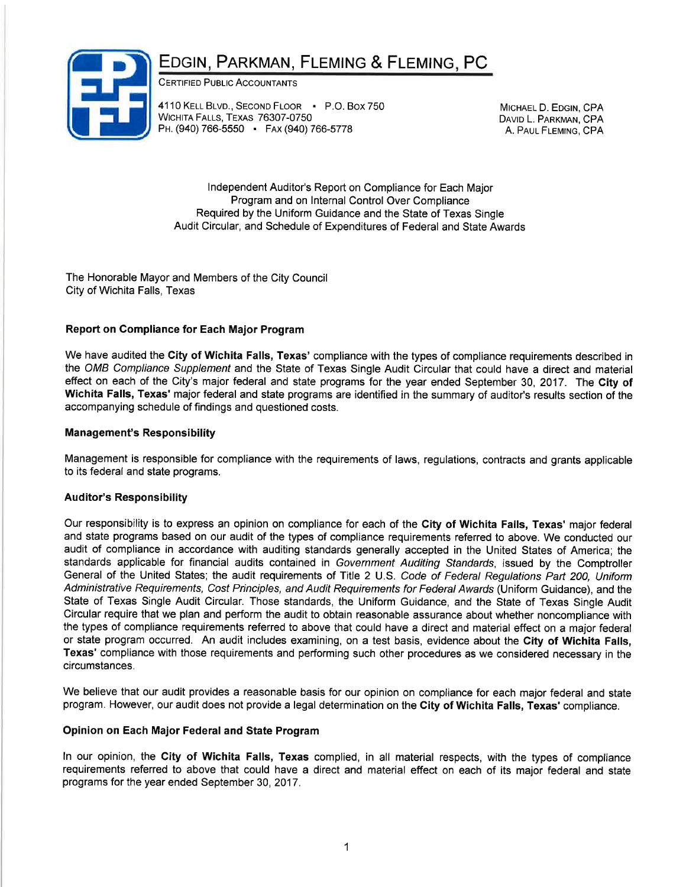# EDGIN, PARKMAN, FLEMING & FLEMING, PC



**CERTIFIED PUBLIC ACCOUNTANTS** 

4110 KELL BLVD., SECOND FLOOR · P.O. Box 750 WICHITA FALLS, TEXAS 76307-0750 PH. (940) 766-5550 · FAX (940) 766-5778

MICHAEL D. EDGIN, CPA DAVID L. PARKMAN, CPA A. PAUL FLEMING, CPA

lndependent Auditor's Report on Compliance for Each Major Program and on lnternal Control Over Compliance Required by the Uniform Guidance and the State of Texas Single Audit Circular, and Schedule of Expenditures of Federal and State Awards

The Honorable Mayor and Members of the City Council City of Wichita Falls, Texas

### Report on Compliance for Each Major Program

We have audited the City of Wichita Falls, Texas' compliance with the types of compliance requirements described in the OMB Compliance Supplement and the State of Texas Single Audit Circular that could have a direct and material effect on each of the City's major federal and state programs for the year ended September 30, 2017. The City of Wichita Falls, Texas' major federal and state programs are identified in the summary of auditor's results section of the accompanying schedule of findings and questioned costs.

#### **Management's Responsibility**

Management is responsible for compliance with the requirements of laws, regulations, contracts and grants applicable to its federal and state programs.

#### Auditor's Responsibility

Our responsibility is to express an opinion on compliance for each of the City of Wichita Falls, Texas' major federal and state programs based on our audit of the types of compliance requirements referred to above. We conducted our audit of compliance in accordance with auditing standards generally accepted in the United States of America; the standards applicable for financial audits contained in Government Auditing Standards, issued by the Comptroller General of the United States; the audit requirements of Title 2 U.S. Code of Federal Regulations Part 200, Uniform Administrative Requiremenfs, Cosf Principles, and Audit Requirements for Federal Awards (Uniform Guidance), and the State of Texas Single Audit Circular. Those standards, the Uniform Guidance, and the State of Texas Single Audit Circular require that we plan and perform the audit to obtain reasonable assurance about whether noncompliance with the types of compliance requirements referred to above that could have a direct and material effect on a major federal or state program occurred. An audit includes examining, on a test basis, evidence about the City of Wichita Falls, Texas' compliance with those requirements and performing such other procedures as we considered necessary in the circumstances.

We believe that our audit provides a reasonable basis for our opinion on compliance for each major federal and state program. However, our audit does not provide a legal determination on the City of Wichita Falls, Texas' compliance.

#### Opinion on Each Major Federal and State Program

ln our opinion, the City of Wichita Falls, Texas complied, in all material respects, with the types of compliance requirements referred to above that could have a direct and material effect on each of its major federal and state programs for the year ended September 30,2017.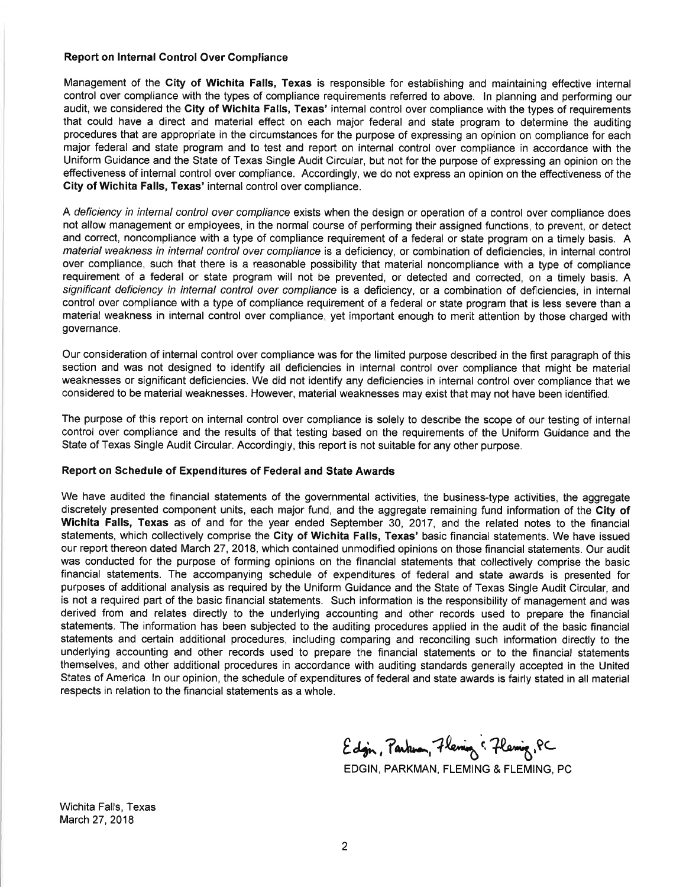#### Report on lnternal Control Over Compliance

Management of the Gity of Wichita Falls, Texas is responsible for establishing and maintaining effective internal control over compliance with the types of compliance requirements referred to above. ln planning and performing our audit, we considered the City of Wichita Falls, Texas' internal control over compliance with the types of requirements that could have a direct and material effect on each major federal and state program to determine the auditing procedures that are appropriate in the circumstances for the purpose of expressing an opinion on compliance for each major federal and state program and to test and report on internal control over compliance in accordance with the Uniform Guidance and the State of Texas Single Audit Circular, but not for the purpose of expressing an opinion on the effectiveness of internal control over compliance. Accordingly, we do not express an opinion on the effectiveness of the Gity of Wichita Falls, Texas' internal control over compliance.

A deficiency in internal control over compliance exists when the design or operation of a control over compliance does not allow management or employees, in the normal course of performing their assigned functions, to prevent, or detect and correct, noncompliance with a type of compliance requirement of a federal or state program on a timely basis. A material weakness in internal control over compliance is a deficiency, or combination of deficiencies, in internal control over compliance, such that there is a reasonable possibility that material noncompliance with a type of compliance requirement of a federal or state program will not be prevented, or detected and corrected, on a timely basis. A significant deficiency in internal control over compliance is a deficiency, or a combination of deficiencies, in internal control over compliance with a type of compliance requirement of a federal or state program that is less severe than a materíal weakness in internal control over compliance, yet important enough to merit attention by those charged with governance.

Our consideration of internal control over compliance was for the limited purpose described in the first paragraph of this section and was not designed to identify all deficiencies in internal control over compliance that might be material weaknesses or significant deficiencies. We did not identify any deficiencies in internal control over compliance that we considered to be material weaknesses. However, material weaknesses may exist that may not have been identified.

The purpose of this report on internal control over compliance is solely to describe the scope of our testing of internal control over compliance and the results of that testing based on the requirements of the Uniform Guidance and the State of Texas Single Audit Circular. Accordingly, this report is not suitable for any other purpose.

#### Report on Schedule of Expenditures of Federal and State Awards

We have audited the financial statements of the governmental activities, the business-type activities, the aggregate discretely presented component units, each major fund, and the aggregate remaining fund information of the City of Wichita Falls, Texas as of and for the year ended September 30, 2017, and the related notes to the financial statements, which collectively comprise the City of Wichita Falls, Texas' basic financial statements. We have issued our report thereon dated March 27, 2018, which contained unmodified opinions on those financial statements. Our audit was conducted for the purpose of forming opinions on the financial statements that collectively comprise the basic financial statements. The accompanying schedule of expenditures of federal and state awards is presented for purposes of additional analysis as required by the Uniform Guidance and the State of Texas Single Audit Circular, and is not a required part of the basic financial statements. Such information is the responsibility of management and was derived from and relates directly to the underlying accounting and other records used to prepare the financial statements. The information has been subjected to the auditing procedures applied in the audit of the basic financial statements and certain additional procedures, including comparing and reconciling such information directly to the underlying accounting and other records used to prepare the financial statements or to the financial statements themselves, and other additional procedures in accordance with auditing standards generally accepted in the United States of America. ln our opinion, the schedule of expenditures of federal and state awards is fairly stated in all material respects in relation to the financial statements as a whole.

Edgin, Parknon, Fleming: Fleming, PC

EDGIN, PARKMAN, FLEMING & FLEMING, PC

Wichita Falls, Texas March 27, 2018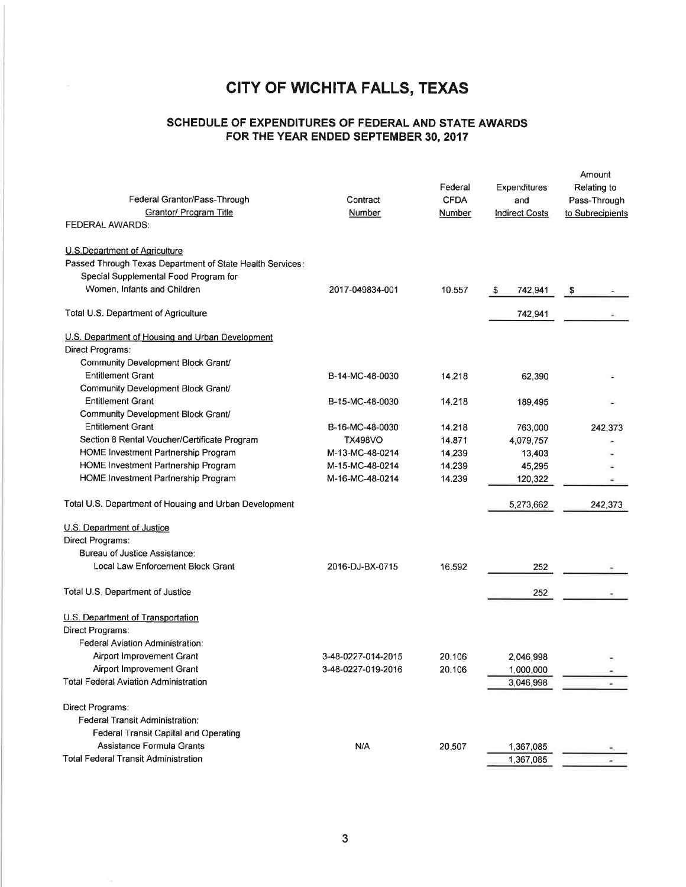### SCHEDULE OF EXPENDITURES OF FEDERAL AND STATE AWARDS FOR THE YEAR ENDED SEPTEMBER 30, 2017

| Federal Grantor/Pass-Through<br>Grantor/ Program Title                                                                                                                                                                              | Contract<br>Number                                                                         | Federal<br><b>CFDA</b><br>Number               | Expenditures<br>and<br><b>Indirect Costs</b>        | Amount<br>Relating to<br>Pass-Through<br>to Subrecipients |
|-------------------------------------------------------------------------------------------------------------------------------------------------------------------------------------------------------------------------------------|--------------------------------------------------------------------------------------------|------------------------------------------------|-----------------------------------------------------|-----------------------------------------------------------|
| <b>FEDERAL AWARDS:</b>                                                                                                                                                                                                              |                                                                                            |                                                |                                                     |                                                           |
| U.S.Department of Agriculture<br>Passed Through Texas Department of State Health Services:<br>Special Supplemental Food Program for<br>Women, Infants and Children                                                                  | 2017-049834-001                                                                            | 10.557                                         | \$<br>742,941                                       | \$                                                        |
| Total U.S. Department of Agriculture                                                                                                                                                                                                |                                                                                            |                                                | 742,941                                             |                                                           |
| U.S. Department of Housing and Urban Development<br>Direct Programs:<br>Community Development Block Grant/<br><b>Entitlement Grant</b>                                                                                              | B-14-MC-48-0030                                                                            | 14,218                                         | 62,390                                              |                                                           |
| Community Development Block Grant/<br><b>Entitlement Grant</b>                                                                                                                                                                      | B-15-MC-48-0030                                                                            | 14.218                                         | 189,495                                             |                                                           |
| Community Development Block Grant/<br><b>Entitlement Grant</b><br>Section 8 Rental Voucher/Certificate Program<br>HOME Investment Partnership Program<br>HOME Investment Partnership Program<br>HOME Investment Partnership Program | B-16-MC-48-0030<br><b>TX498VO</b><br>M-13-MC-48-0214<br>M-15-MC-48-0214<br>M-16-MC-48-0214 | 14.218<br>14.871<br>14.239<br>14.239<br>14.239 | 763,000<br>4,079,757<br>13,403<br>45,295<br>120,322 | 242,373                                                   |
| Total U.S. Department of Housing and Urban Development                                                                                                                                                                              |                                                                                            |                                                | 5,273,662                                           | 242,373                                                   |
| U.S. Department of Justice<br>Direct Programs:<br>Bureau of Justice Assistance:<br>Local Law Enforcement Block Grant                                                                                                                | 2016-DJ-BX-0715                                                                            | 16.592                                         | 252                                                 |                                                           |
| Total U.S. Department of Justice                                                                                                                                                                                                    |                                                                                            |                                                | 252                                                 |                                                           |
| U.S. Department of Transportation<br>Direct Programs:<br>Federal Aviation Administration:                                                                                                                                           |                                                                                            |                                                |                                                     |                                                           |
| Airport Improvement Grant<br>Airport Improvement Grant                                                                                                                                                                              | 3-48-0227-014-2015<br>3-48-0227-019-2016                                                   | 20.106<br>20.106                               | 2,046,998<br>1,000,000                              |                                                           |
| <b>Total Federal Aviation Administration</b>                                                                                                                                                                                        |                                                                                            |                                                | 3,046,998                                           |                                                           |
| Direct Programs:<br>Federal Transit Administration:<br>Federal Transit Capital and Operating<br>Assistance Formula Grants                                                                                                           | N/A                                                                                        | 20.507                                         | 1,367,085                                           |                                                           |
| <b>Total Federal Transit Administration</b>                                                                                                                                                                                         |                                                                                            |                                                | 1,367,085                                           |                                                           |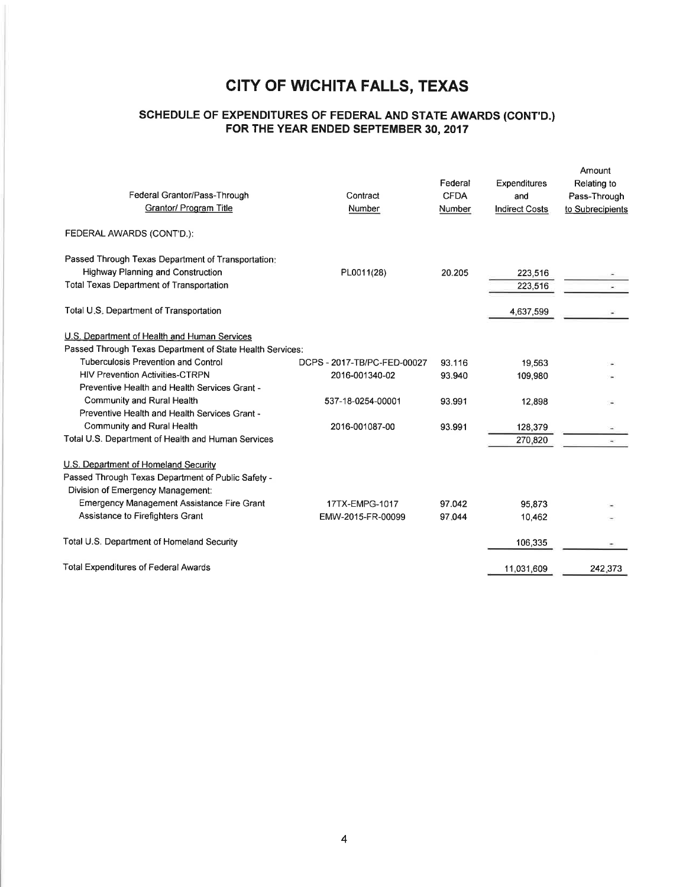### ScHEDULE OF EXPENDTTURES OF FEDERAL AND STATE AWARDS (CONT'D.) FOR THE YEAR ENDED SEPTEMBER 30,2017

| Federal<br>Federal Grantor/Pass-Through<br><b>CFDA</b><br>Contract<br>Grantor/ Program Title<br>Number<br>Number | Expenditures<br>and<br><b>Indirect Costs</b> | Amount<br>Relating to<br>Pass-Through<br>to Subrecipients |
|------------------------------------------------------------------------------------------------------------------|----------------------------------------------|-----------------------------------------------------------|
| FEDERAL AWARDS (CONT'D.):                                                                                        |                                              |                                                           |
| Passed Through Texas Department of Transportation:                                                               |                                              |                                                           |
| Highway Planning and Construction<br>PL0011(28)<br>20.205                                                        | 223,516                                      |                                                           |
| <b>Total Texas Department of Transportation</b>                                                                  | 223,516                                      |                                                           |
| Total U.S. Department of Transportation                                                                          | 4,637,599                                    |                                                           |
| U.S. Department of Health and Human Services                                                                     |                                              |                                                           |
| Passed Through Texas Department of State Health Services:                                                        |                                              |                                                           |
| <b>Tuberculosis Prevention and Control</b><br>DCPS - 2017-TB/PC-FED-00027<br>93.116                              | 19.563                                       |                                                           |
| <b>HIV Prevention Activities-CTRPN</b><br>2016-001340-02<br>93.940                                               | 109,980                                      |                                                           |
| Preventive Health and Health Services Grant -                                                                    |                                              |                                                           |
| Community and Rural Health<br>537-18-0254-00001<br>93.991                                                        | 12.898                                       |                                                           |
| Preventive Health and Health Services Grant -                                                                    |                                              |                                                           |
| <b>Community and Rural Health</b><br>2016-001087-00<br>93.991                                                    | 128,379                                      |                                                           |
| Total U.S. Department of Health and Human Services                                                               | 270,820                                      |                                                           |
| U.S. Department of Homeland Security                                                                             |                                              |                                                           |
| Passed Through Texas Department of Public Safety -                                                               |                                              |                                                           |
| Division of Emergency Management:                                                                                |                                              |                                                           |
| <b>Emergency Management Assistance Fire Grant</b><br>17TX-EMPG-1017<br>97.042                                    | 95.873                                       |                                                           |
| Assistance to Firefighters Grant<br>EMW-2015-FR-00099<br>97.044                                                  | 10,462                                       |                                                           |
| Total U.S. Department of Homeland Security                                                                       | 106,335                                      |                                                           |
| <b>Total Expenditures of Federal Awards</b>                                                                      | 11,031,609                                   | 242,373                                                   |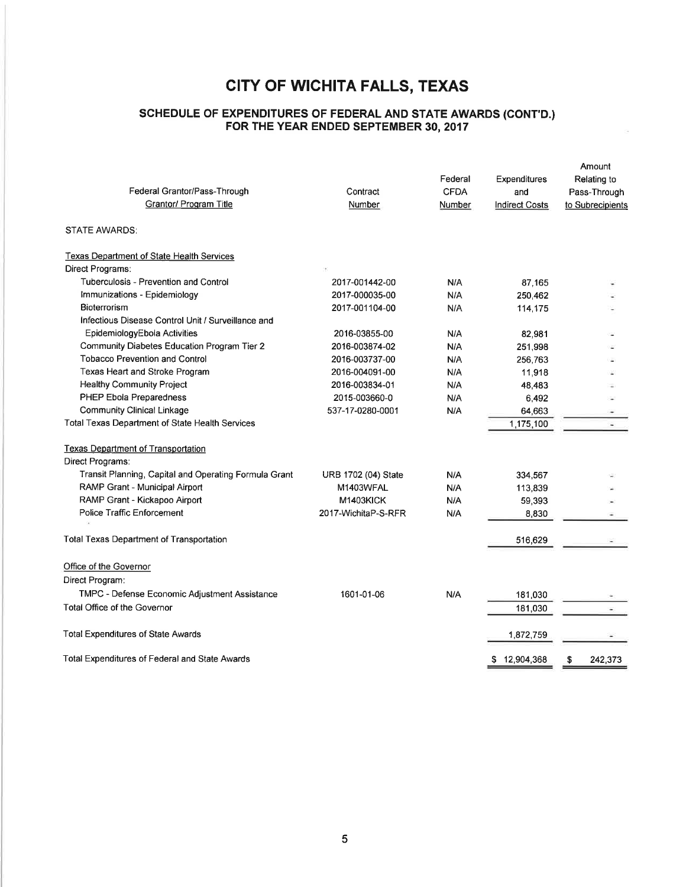#### SCHEDULE OF EXPENDTTURES OF FEDERAL AND STATE AWARDS (CONT'D.) FOR THE YEAR ENDED SEPTEMBER 30, 2017

| Federal Grantor/Pass-Through                          | Contract            | Federal<br><b>CFDA</b> | Expenditures<br>and   | Amount<br>Relating to<br>Pass-Through |
|-------------------------------------------------------|---------------------|------------------------|-----------------------|---------------------------------------|
| <b>Grantor/ Program Title</b>                         | Number              | Number                 | <b>Indirect Costs</b> | to Subrecipients                      |
| <b>STATE AWARDS:</b>                                  |                     |                        |                       |                                       |
| <b>Texas Department of State Health Services</b>      |                     |                        |                       |                                       |
| Direct Programs:                                      |                     |                        |                       |                                       |
| Tuberculosis - Prevention and Control                 | 2017-001442-00      | N/A                    | 87,165                |                                       |
| Immunizations - Epidemiology                          | 2017-000035-00      | N/A                    | 250,462               |                                       |
| Bioterrorism                                          | 2017-001104-00      | N/A                    | 114,175               |                                       |
| Infectious Disease Control Unit / Surveillance and    |                     |                        |                       |                                       |
| EpidemiologyEbola Activities                          | 2016-03855-00       | N/A                    | 82,981                |                                       |
| Community Diabetes Education Program Tier 2           | 2016-003874-02      | N/A                    | 251,998               |                                       |
| <b>Tobacco Prevention and Control</b>                 | 2016-003737-00      | N/A                    | 256,763               |                                       |
| Texas Heart and Stroke Program                        | 2016-004091-00      | N/A                    | 11,918                |                                       |
| <b>Healthy Community Project</b>                      | 2016-003834-01      | N/A                    | 48,483                |                                       |
| PHEP Ebola Preparedness                               | 2015-003660-0       | N/A                    | 6,492                 |                                       |
| <b>Community Clinical Linkage</b>                     | 537-17-0280-0001    | N/A                    | 64,663                |                                       |
| Total Texas Department of State Health Services       |                     |                        | 1,175,100             | Ξ                                     |
| <b>Texas Department of Transportation</b>             |                     |                        |                       |                                       |
| Direct Programs:                                      |                     |                        |                       |                                       |
| Transit Planning, Capital and Operating Formula Grant | URB 1702 (04) State | N/A                    | 334,567               |                                       |
| RAMP Grant - Municipal Airport                        | M1403WFAL           | N/A                    | 113,839               |                                       |
| RAMP Grant - Kickapoo Airport                         | M1403KICK           | N/A                    | 59,393                |                                       |
| Police Traffic Enforcement                            | 2017-WichitaP-S-RFR | N/A                    | 8,830                 |                                       |
| <b>Total Texas Department of Transportation</b>       |                     |                        | 516,629               |                                       |
| Office of the Governor                                |                     |                        |                       |                                       |
| Direct Program:                                       |                     |                        |                       |                                       |
| TMPC - Defense Economic Adjustment Assistance         | 1601-01-06          | N/A                    | 181,030               |                                       |
| <b>Total Office of the Governor</b>                   |                     |                        | 181,030               |                                       |
|                                                       |                     |                        |                       |                                       |
| <b>Total Expenditures of State Awards</b>             |                     |                        | 1,872,759             |                                       |
| Total Expenditures of Federal and State Awards        |                     |                        | \$12,904,368          | 242,373<br>s                          |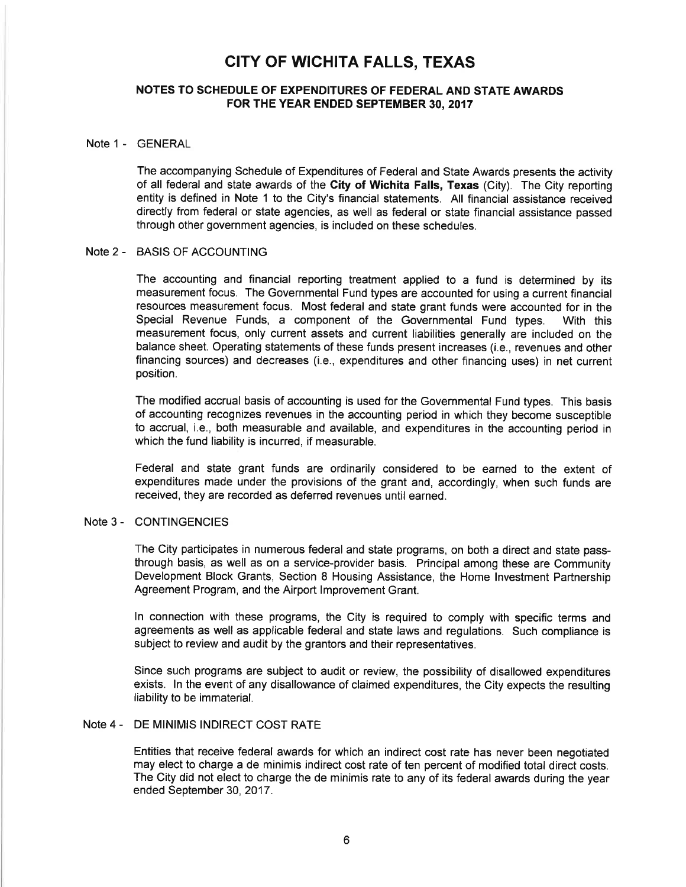#### NOTES TO SCHEDULE OF EXPENDITURES OF FEDERAL AND STATE AWARDS FOR THE YEAR ENDED SEPTEMBER 30, 2017

#### Note 1 - GENERAL

The accompanying Schedule of Expenditures of Federal and State Awards presents the activity of all federal and state awards of the City of Wichita Falls, Texas (City). The City reporting entity is defined in Note I to the City's financial statements. All financial assistance received directly from federal or state agencies, as well as federal or state financial assistance passed through other government agencies, is included on these schedules.

#### Note 2 - BASIS OF ACCOUNTING

The accounting and financial reporting treatment applied to a fund is determined by its measurement focus. The Governmental Fund types are accounted for using a current financial resources measurement focus. Most federal and state grant funds were accounted for in the Special Revenue Funds, a component of the Governmental Fund types. With this measurement focus, only current assets and current liabilities generally are included on the balance sheet. Operating statements of these funds present increases (i.e., revenues and other financing sources) and decreases (i.e., expenditures and other financing uses) in net current position.

The modified accrual basis of accounting is used for the Governmental Fund types. This basis of accounting recognizes revenues in the accounting period in which they become susceptible to accrual, i.e., both measurable and available, and expenditures in the accounting period in which the fund liability is incurred, if measurable.

Federal and state grant funds are ordinarily considered to be earned to the extent of expenditures made under the provisions of the grant and, accordingly, when such funds are received, they are recorded as deferred revenues until earned.

### Note 3 - CONTINGENCIES

The City participates in numerous federal and state programs, on both a direct and state passthrough basis, as well as on a service-provider basis. Principal among these are Community Development Block Grants, Section 8 Housing Assistance, the Home Investment Partnership Agreement Program, and the Airport lmprovement Grant.

ln connection with these programs, the City is required to comply with specific terms and agreements as well as applicable federal and state laws and regulations. Such compliance is subject to review and audit by the grantors and their representatives.

Since such programs are subject to audit or review, the possibility of disallowed expenditures exists. ln the event of any disallowance of claimed expenditures, the City expects the resulting liability to be immaterial.

#### Note 4 - DE MlNlMlS INDIRECT COST RATE

Entities that receive federal awards for which an indirect cost rate has never been negotiated may elect to charge a de minimis indirect cost rate of ten percent of modified total direct costs. The City did not elect to charge the de minimis rate to any of its federal awards during the year ended September 30, 2017.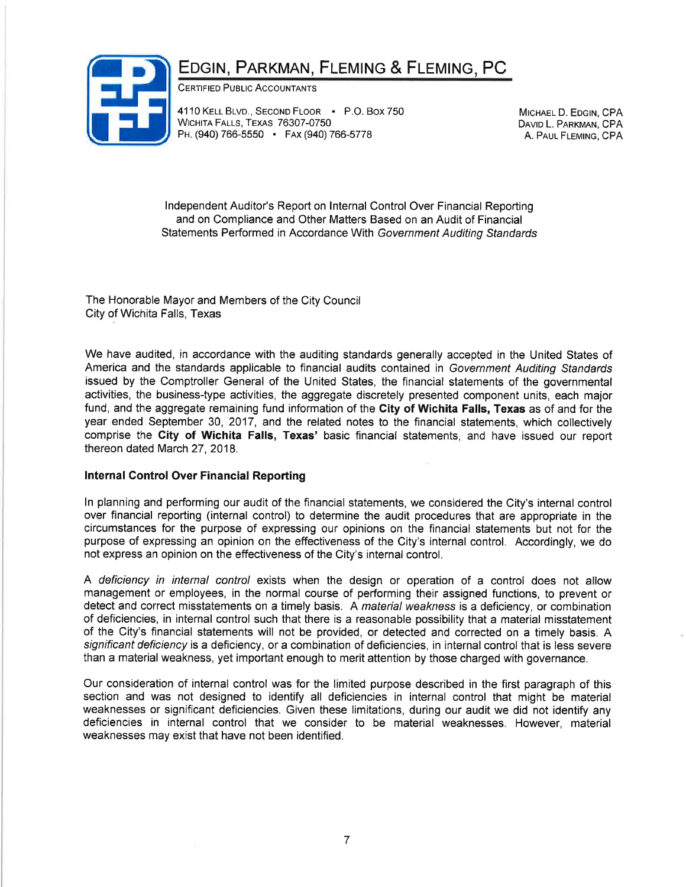# EDGIN, PARKMAN, FLEMING & FLEMING, PC



CERTIFIED PUBLIC ACCOUNTANTS

4110 KELL BLVD., SECOND FLOOR . P.O. BOX 750 WICHITA FALLS, TEXAS 76307-0750 PH. (940) 766-5550 · FAX (940) 766-5778

MICHAEL D. EDGIN, CPA DAVID L. PARKMAN, CPA A. PAUL FLEMING, CPA

lndependent Audítor's Report on lnternal Control Over Financial Reporting and on Compliance and Other Matters Based on an Audit of Financial Statements Performed in Accordance With Government Auditing Sfandards

The Honorable Mayor and Members of the City Council City of Wichita Falls, Texas

We have audited, in accordance with the auditing standards generally accepted in the United States of America and the standards applicable to financial audits contained in Government Auditing Standards issued by the Comptroller General of the United States, the financial statements of the governmental activities, the business-type activities, the aggregate discretely presented component units, each major fund, and the aggregate remaining fund information of the City of Wichita Falls. Texas as of and for the year ended September 30, 2017, and the related notes to the financial statements, which collectively comprise the City of Wichita Falls, Texas' basic financial statements, and have issued our report thereon dated March 27, 2018.

### lnternal Control Over Financial Reporting

ln planning and performing our audit of the financial statements, we considered the City's internal control over financial reporting (internal control) to determine the audit procedures that are appropriate in the circumstances for the purpose of expressing our opinions on the financial statements but not for the purpose of expressing an opinion on the effectiveness of the City's internal control. Accordingly, we do not express an opinion on the effectiveness of the City's internal control.

A deficiency in internal control exists when the design or operation of a control does not allow management or employees, in the normal course of performing their assigned functions, to prevent or detect and correct misstatements on a timely basis. A material weakness is a deficiency, or combination of deficiencies, in internal control such that there is a reasonable possibility that a material misstatement of the City's financial statements will not be provided, or detected and corrected on a timely basis. A significant deficiency is a deficiency, or a combination of deficiencies, in internal control that is less severe than a material weakness, yet important enough to merit attention by those charged with governance.

Our consideration of internal control was for the limited purpose described in the first paragraph of this section and was not designed to identify all deficiencies in internal control that might be material weaknesses or significant deficiencies. Given these limitations, during our audit we did not identify any deficiencies in internal control that we consider to be material weaknesses. However, material weaknesses may exist that have not been identified.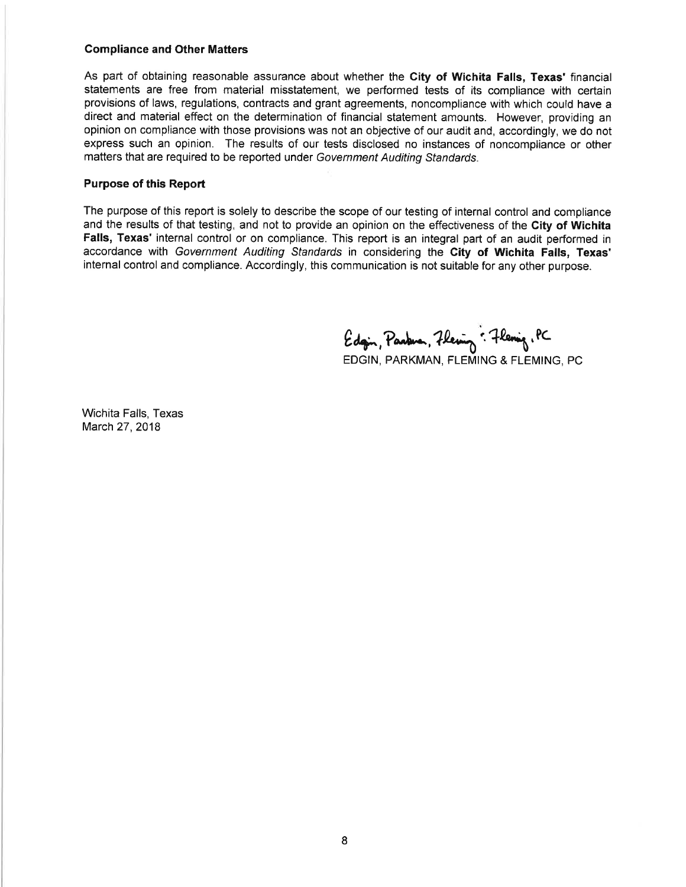### Compliance and Other Matters

As part of obtaining reasonable assurance about whether the City of Wichita Falls, Texas' financial statements are free from material misstatement, we performed tests of its compliance with certain provisions of laws, regulations, contracts and grant agreements, noncompliance with which could have a direct and material effect on the determination of financial statement amounts. However, providíng an opinion on compliance with those provisions was not an objective of our audit and, accordingly, we do not express such an opinion. The results of our tests disclosed no instances of noncompliance or other matters that are required to be reported under Government Auditing Sfandards.

#### Purpose of this Report

The purpose of this report is solely to describe the scope of our testing of internal control and compliance and the results of that testing, and not to provide an opinion on the effectiveness of the City of Wichita Falls, Texas' internal control or on compliance. This report is an integral part of an audit performed in accordance with Government Auditing Standards in considering the City of Wichita Falls, Texas' internal control and compliance. Accordingly, this communication is not suitable for any other purpose.

Edgin, Parkera, Flering: Flering, PC

EDGIN, PARKMAN, FLEMING & FLEMING, PC

Wichita Falls, Texas March 27,2018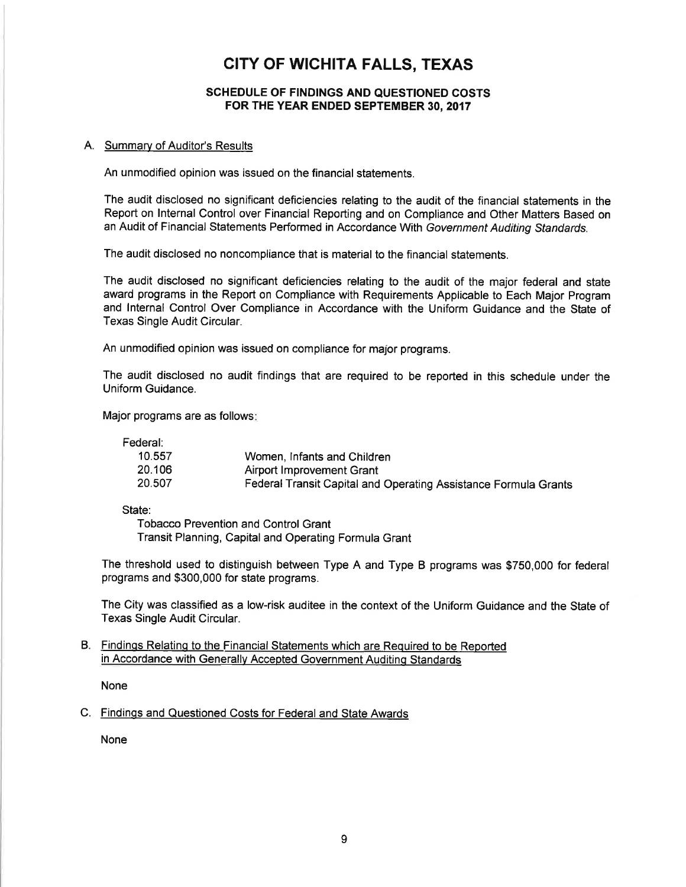#### SCHEDULE OF FINDINGS AND QUESTIONED GOSTS FOR THE YEAR ENDED SEPTEMBER 30, 2017

#### A. Summary of Auditor's Results

An unmodified opinion was issued on the financial statements.

The audit disclosed no significant deficiencies relating to the audit of the financial statements in the Report on lnternal Control over Financial Reporting and on Compliance and Other Matters Based on an Audit of Financial Statements Performed in Accordance With Government Auditing Sfandards.

The audit disclosed no noncompliance that is material to the financial statements.

The audit disclosed no significant deficiencies relating to the audit of the major federal and state award programs in the Report on Compliance with Requirements Applicable to Each Major Program and lnternal Control Over Compliance in Accordance with the Uniform Guidance and the State of Texas Single Audit Circular.

An unmodified opinion was issued on compliance for malor programs.

The audit disclosed no audlt findings that are required to be reported in this schedule under the Uniform Guidance.

Major programs are as follows

Federal:

| 10.557 | Women, Infants and Children                                     |
|--------|-----------------------------------------------------------------|
| 20.106 | Airport Improvement Grant                                       |
| 20.507 | Federal Transit Capital and Operating Assistance Formula Grants |

State:

Tobacco Prevention and Control Grant Transit Planning, Capital and Operating Formula Grant

The threshold used to distinguish between Type A and Type B programs was \$750,000 for federal programs and \$300,000 for state programs.

The City was classified as a low-risk auditee in the context of the Uniform Guidance and the State of Texas Single Audit Circular.

#### B. Findings Relating to the Financial Statements which are Required to be Reported in Accordance with Generally Accepted Government Auditing Standards

None

#### C. Findinqs and Questioned Costs for Federal and State Awards

None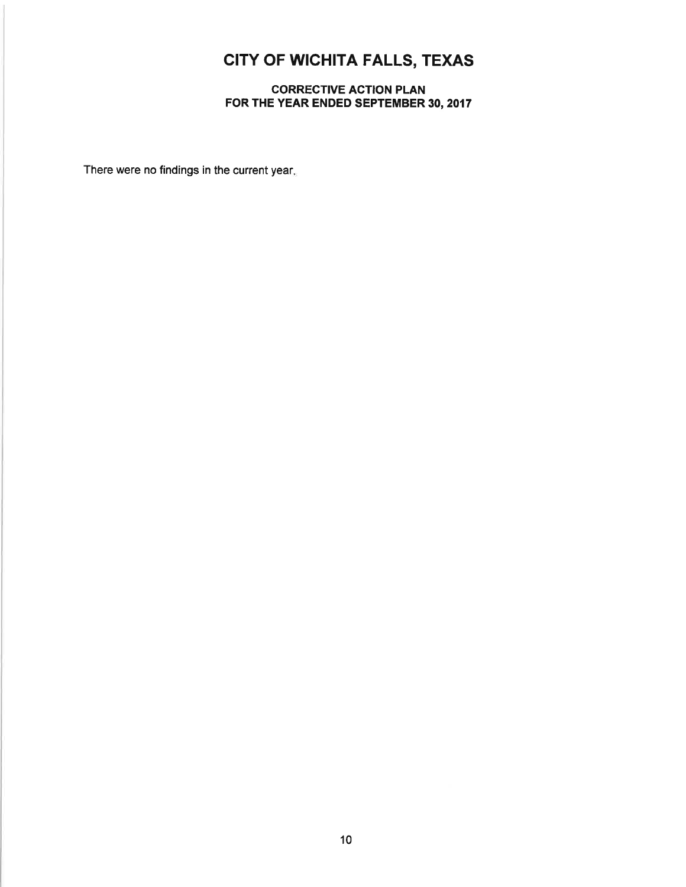### CORRECTIVE ACTION PLAN FOR THE YEAR ENDED SEPTEMBER 30, 2017

There were no findings in the current year.